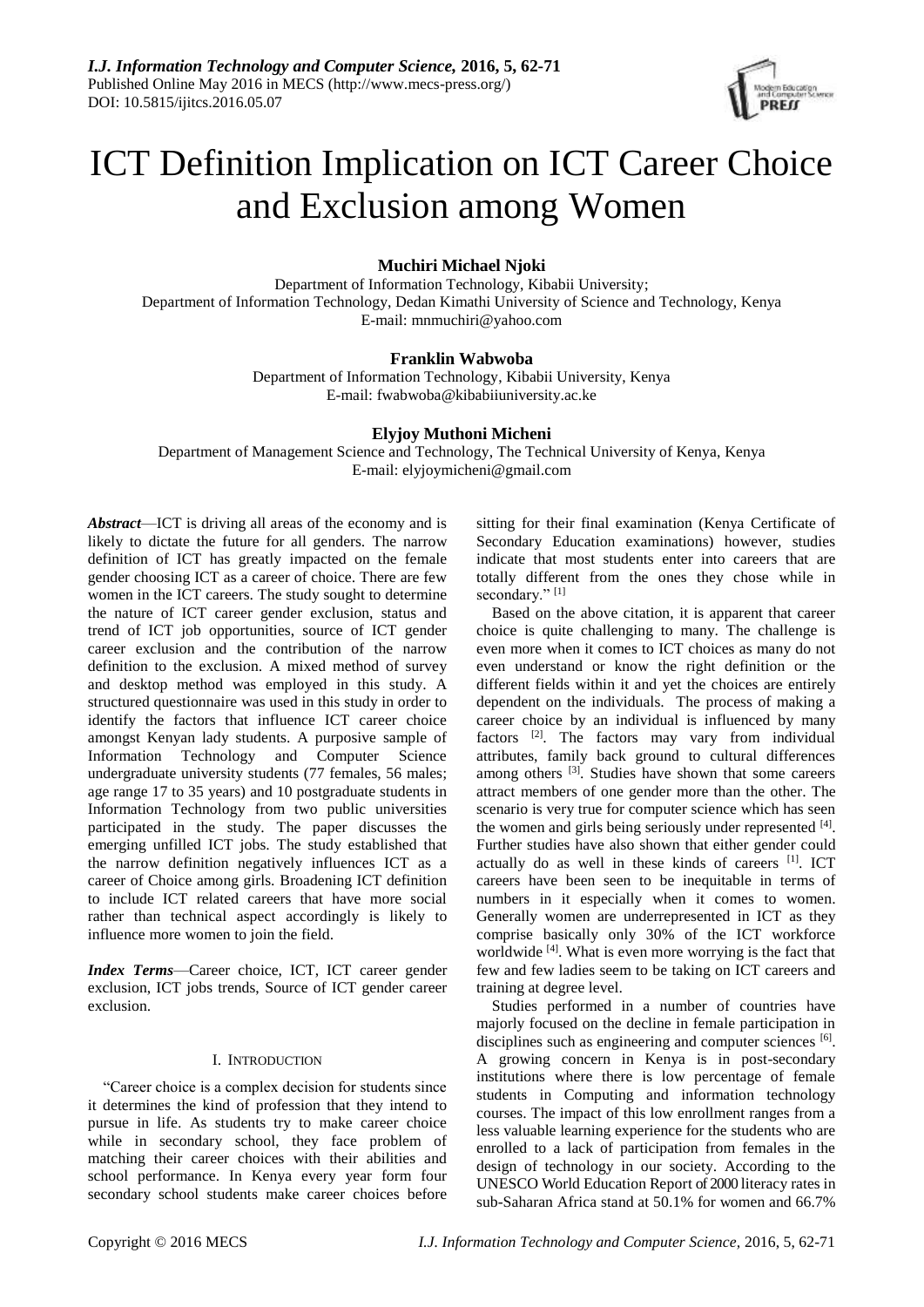

# ICT Definition Implication on ICT Career Choice and Exclusion among Women

**Muchiri Michael Njoki**

Department of Information Technology, Kibabii University; Department of Information Technology, Dedan Kimathi University of Science and Technology, Kenya E-mail: mnmuchiri@yahoo.com

# **Franklin Wabwoba**

Department of Information Technology, Kibabii University, Kenya E-mail: fwabwoba@kibabiiuniversity.ac.ke

# **Elyjoy Muthoni Micheni**

Department of Management Science and Technology, The Technical University of Kenya, Kenya E-mail: elyjoymicheni@gmail.com

*Abstract*—ICT is driving all areas of the economy and is likely to dictate the future for all genders. The narrow definition of ICT has greatly impacted on the female gender choosing ICT as a career of choice. There are few women in the ICT careers. The study sought to determine the nature of ICT career gender exclusion, status and trend of ICT job opportunities, source of ICT gender career exclusion and the contribution of the narrow definition to the exclusion. A mixed method of survey and desktop method was employed in this study. A structured questionnaire was used in this study in order to identify the factors that influence ICT career choice amongst Kenyan lady students. A purposive sample of Information Technology and Computer Science undergraduate university students (77 females, 56 males; age range 17 to 35 years) and 10 postgraduate students in Information Technology from two public universities participated in the study. The paper discusses the emerging unfilled ICT jobs. The study established that the narrow definition negatively influences ICT as a career of Choice among girls. Broadening ICT definition to include ICT related careers that have more social rather than technical aspect accordingly is likely to influence more women to join the field.

*Index Terms*—Career choice, ICT, ICT career gender exclusion, ICT jobs trends, Source of ICT gender career exclusion.

# I. INTRODUCTION

"Career choice is a complex decision for students since it determines the kind of profession that they intend to pursue in life. As students try to make career choice while in secondary school, they face problem of matching their career choices with their abilities and school performance. In Kenya every year form four secondary school students make career choices before sitting for their final examination (Kenya Certificate of Secondary Education examinations) however, studies indicate that most students enter into careers that are totally different from the ones they chose while in secondary."<sup>[1]</sup>

Based on the above citation, it is apparent that career choice is quite challenging to many. The challenge is even more when it comes to ICT choices as many do not even understand or know the right definition or the different fields within it and yet the choices are entirely dependent on the individuals. The process of making a career choice by an individual is influenced by many factors <sup>[2]</sup>. The factors may vary from individual attributes, family back ground to cultural differences among others <sup>[3]</sup>. Studies have shown that some careers attract members of one gender more than the other. The scenario is very true for computer science which has seen the women and girls being seriously under represented [4]. Further studies have also shown that either gender could actually do as well in these kinds of careers  $[1]$ . ICT careers have been seen to be inequitable in terms of numbers in it especially when it comes to women. Generally women are underrepresented in ICT as they comprise basically only 30% of the ICT workforce worldwide [4]. What is even more worrying is the fact that few and few ladies seem to be taking on ICT careers and training at degree level.

Studies performed in a number of countries have majorly focused on the decline in female participation in disciplines such as engineering and computer sciences [6]. A growing concern in Kenya is in post-secondary institutions where there is low percentage of female students in Computing and information technology courses. The impact of this low enrollment ranges from a less valuable learning experience for the students who are enrolled to a lack of participation from females in the design of technology in our society. According to the UNESCO World Education Report of 2000 literacy rates in sub-Saharan Africa stand at 50.1% for women and 66.7%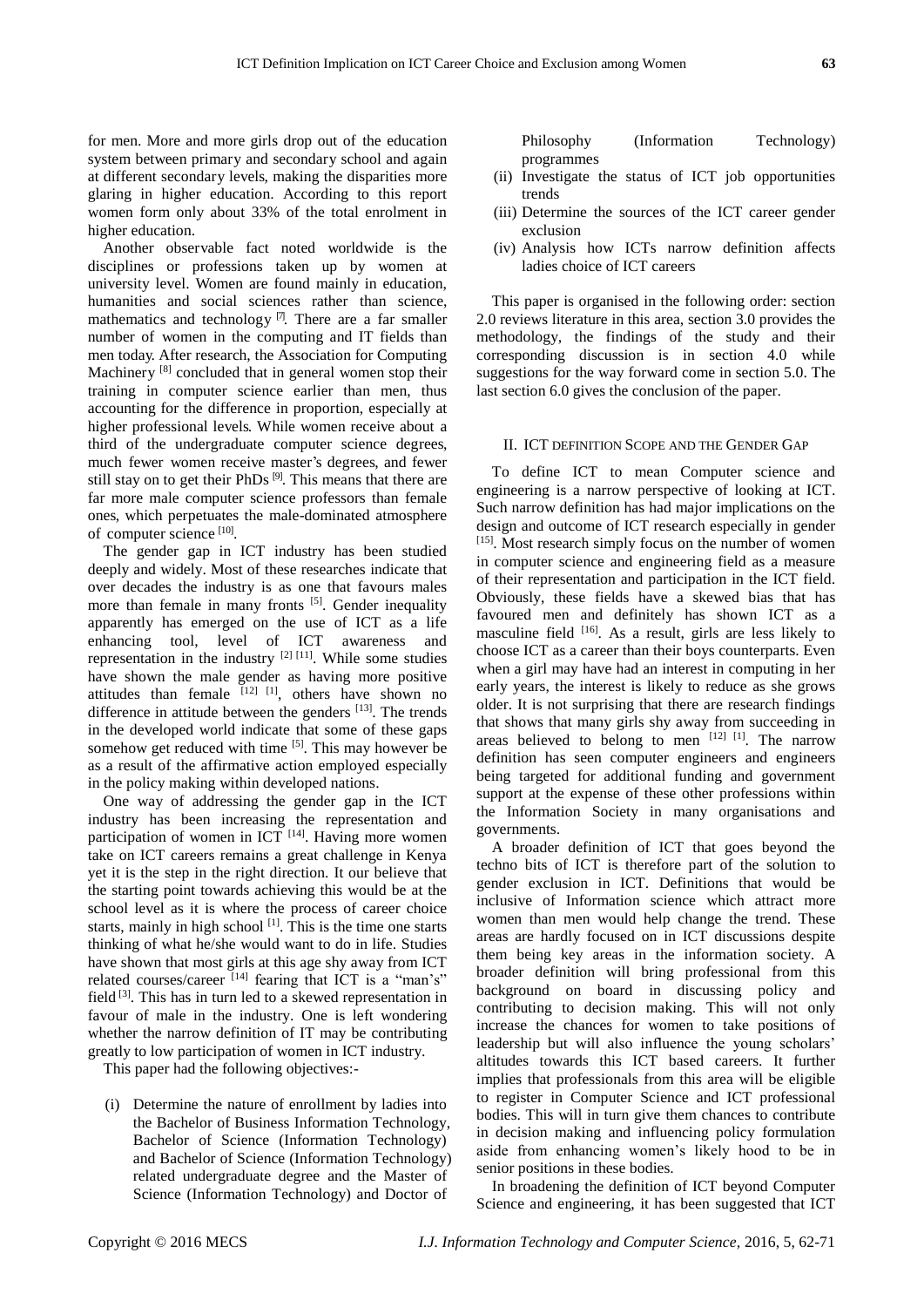for men. More and more girls drop out of the education system between primary and secondary school and again at different secondary levels, making the disparities more glaring in higher education. According to this report women form only about 33% of the total enrolment in higher education.

Another observable fact noted worldwide is the disciplines or professions taken up by women at university level. Women are found mainly in education, humanities and social sciences rather than science, mathematics and technology  $\mathbb{Z}$ . There are a far smaller number of women in the computing and IT fields than men today. After research, the Association for Computing Machinery [8] concluded that in general women stop their training in computer science earlier than men, thus accounting for the difference in proportion, especially at higher professional levels. While women receive about a third of the undergraduate computer science degrees, much fewer women receive master's degrees, and fewer still stay on to get their PhDs  $[9]$ . This means that there are far more male computer science professors than female ones, which perpetuates the male-dominated atmosphere of computer science [10].

The gender gap in ICT industry has been studied deeply and widely. Most of these researches indicate that over decades the industry is as one that favours males more than female in many fronts <sup>[5]</sup>. Gender inequality apparently has emerged on the use of ICT as a life enhancing tool, level of ICT awareness and representation in the industry  $[2]$   $[11]$ . While some studies have shown the male gender as having more positive attitudes than female  $[12]$   $[11]$ , others have shown no difference in attitude between the genders  $[13]$ . The trends in the developed world indicate that some of these gaps somehow get reduced with time <sup>[5]</sup>. This may however be as a result of the affirmative action employed especially in the policy making within developed nations.

One way of addressing the gender gap in the ICT industry has been increasing the representation and participation of women in ICT  $[14]$ . Having more women take on ICT careers remains a great challenge in Kenya yet it is the step in the right direction. It our believe that the starting point towards achieving this would be at the school level as it is where the process of career choice starts, mainly in high school  $[1]$ . This is the time one starts thinking of what he/she would want to do in life. Studies have shown that most girls at this age shy away from ICT related courses/career [14] fearing that ICT is a "man's" field<sup>[3]</sup>. This has in turn led to a skewed representation in favour of male in the industry. One is left wondering whether the narrow definition of IT may be contributing greatly to low participation of women in ICT industry.

This paper had the following objectives:-

(i) Determine the nature of enrollment by ladies into the Bachelor of Business Information Technology, Bachelor of Science (Information Technology) and Bachelor of Science (Information Technology) related undergraduate degree and the Master of Science (Information Technology) and Doctor of

Philosophy (Information Technology) programmes

- (ii) Investigate the status of ICT job opportunities trends
- (iii) Determine the sources of the ICT career gender exclusion
- (iv) Analysis how ICTs narrow definition affects ladies choice of ICT careers

This paper is organised in the following order: section 2.0 reviews literature in this area, section 3.0 provides the methodology, the findings of the study and their corresponding discussion is in section 4.0 while suggestions for the way forward come in section 5.0. The last section 6.0 gives the conclusion of the paper.

# II. ICT DEFINITION SCOPE AND THE GENDER GAP

To define ICT to mean Computer science and engineering is a narrow perspective of looking at ICT. Such narrow definition has had major implications on the design and outcome of ICT research especially in gender [15]. Most research simply focus on the number of women in computer science and engineering field as a measure of their representation and participation in the ICT field. Obviously, these fields have a skewed bias that has favoured men and definitely has shown ICT as a masculine field [16]. As a result, girls are less likely to choose ICT as a career than their boys counterparts. Even when a girl may have had an interest in computing in her early years, the interest is likely to reduce as she grows older. It is not surprising that there are research findings that shows that many girls shy away from succeeding in areas believed to belong to men  $[12]$   $[11]$ . The narrow definition has seen computer engineers and engineers being targeted for additional funding and government support at the expense of these other professions within the Information Society in many organisations and governments.

A broader definition of ICT that goes beyond the techno bits of ICT is therefore part of the solution to gender exclusion in ICT. Definitions that would be inclusive of Information science which attract more women than men would help change the trend. These areas are hardly focused on in ICT discussions despite them being key areas in the information society. A broader definition will bring professional from this background on board in discussing policy and contributing to decision making. This will not only increase the chances for women to take positions of leadership but will also influence the young scholars' altitudes towards this ICT based careers. It further implies that professionals from this area will be eligible to register in Computer Science and ICT professional bodies. This will in turn give them chances to contribute in decision making and influencing policy formulation aside from enhancing women's likely hood to be in senior positions in these bodies.

In broadening the definition of ICT beyond Computer Science and engineering, it has been suggested that ICT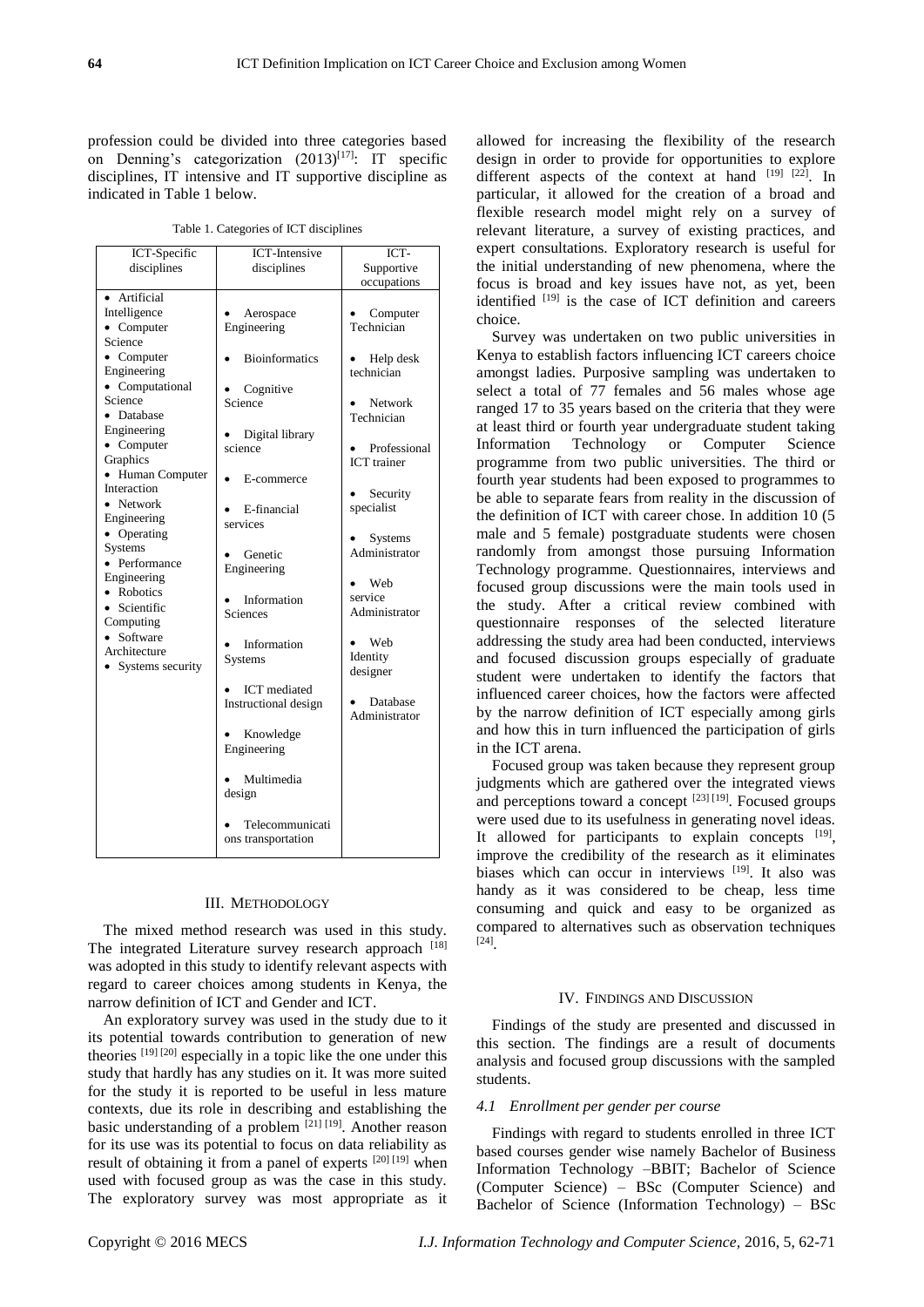profession could be divided into three categories based on Denning's categorization  $(2013)^{[17]}$ : IT specific disciplines, IT intensive and IT supportive discipline as indicated in Table 1 below.

Table 1. Categories of ICT disciplines

| ICT-Specific<br>disciplines                                                                                                                                                                                                                                                                                                                                                                                    | <b>ICT-Intensive</b><br>disciplines                                                                                                                                                                  | ICT-<br>Supportive                                                                                                                                                                                             |
|----------------------------------------------------------------------------------------------------------------------------------------------------------------------------------------------------------------------------------------------------------------------------------------------------------------------------------------------------------------------------------------------------------------|------------------------------------------------------------------------------------------------------------------------------------------------------------------------------------------------------|----------------------------------------------------------------------------------------------------------------------------------------------------------------------------------------------------------------|
| Artificial<br>Intelligence<br>$\bullet$ Computer<br>Science<br>• Computer<br>Engineering<br>• Computational<br>Science<br>• Database<br>Engineering<br>$\bullet$ Computer<br>Graphics<br>• Human Computer<br>Interaction<br>Network<br>Engineering<br>• Operating<br><b>Systems</b><br>• Performance<br>Engineering<br>• Robotics<br>• Scientific<br>Computing<br>Software<br>Architecture<br>Systems security | Aerospace<br>Engineering<br><b>Bioinformatics</b><br>Cognitive<br>Science<br>Digital library<br>science<br>E-commerce<br>E-financial<br>services<br>Genetic<br>Engineering                           | occupations<br>Computer<br>Technician<br>Help desk<br>technician<br><b>Network</b><br>Technician<br>Professional<br><b>ICT</b> trainer<br>Security<br>specialist<br>Systems<br>Administrator<br>Web<br>service |
|                                                                                                                                                                                                                                                                                                                                                                                                                | Information<br>Sciences<br>Information<br><b>Systems</b><br><b>ICT</b> mediated<br>Instructional design<br>Knowledge<br>Engineering<br>Multimedia<br>design<br>Telecommunicati<br>ons transportation | Administrator<br>Web<br>Identity<br>designer<br>Database<br>Administrator                                                                                                                                      |

#### III. METHODOLOGY

The mixed method research was used in this study. The integrated Literature survey research approach [18] was adopted in this study to identify relevant aspects with regard to career choices among students in Kenya, the narrow definition of ICT and Gender and ICT.

An exploratory survey was used in the study due to it its potential towards contribution to generation of new theories [19] [20] especially in a topic like the one under this study that hardly has any studies on it. It was more suited for the study it is reported to be useful in less mature contexts, due its role in describing and establishing the basic understanding of a problem <sup>[21] [19]</sup>. Another reason for its use was its potential to focus on data reliability as result of obtaining it from a panel of experts [20] [19] when used with focused group as was the case in this study. The exploratory survey was most appropriate as it

allowed for increasing the flexibility of the research design in order to provide for opportunities to explore different aspects of the context at hand [19] [22]. In particular, it allowed for the creation of a broad and flexible research model might rely on a survey of relevant literature, a survey of existing practices, and expert consultations. Exploratory research is useful for the initial understanding of new phenomena, where the focus is broad and key issues have not, as yet, been identified  $[19]$  is the case of ICT definition and careers choice.

Survey was undertaken on two public universities in Kenya to establish factors influencing ICT careers choice amongst ladies. Purposive sampling was undertaken to select a total of 77 females and 56 males whose age ranged 17 to 35 years based on the criteria that they were at least third or fourth year undergraduate student taking Information Technology or Computer Science programme from two public universities. The third or fourth year students had been exposed to programmes to be able to separate fears from reality in the discussion of the definition of ICT with career chose. In addition 10 (5 male and 5 female) postgraduate students were chosen randomly from amongst those pursuing Information Technology programme. Questionnaires, interviews and focused group discussions were the main tools used in the study. After a critical review combined with questionnaire responses of the selected literature addressing the study area had been conducted, interviews and focused discussion groups especially of graduate student were undertaken to identify the factors that influenced career choices, how the factors were affected by the narrow definition of ICT especially among girls and how this in turn influenced the participation of girls in the ICT arena.

Focused group was taken because they represent group judgments which are gathered over the integrated views and perceptions toward a concept [23] [19]. Focused groups were used due to its usefulness in generating novel ideas. It allowed for participants to explain concepts  $[19]$ , improve the credibility of the research as it eliminates biases which can occur in interviews [19]. It also was handy as it was considered to be cheap, less time consuming and quick and easy to be organized as compared to alternatives such as observation techniques [24] .

#### IV. FINDINGS AND DISCUSSION

Findings of the study are presented and discussed in this section. The findings are a result of documents analysis and focused group discussions with the sampled students.

### *4.1 Enrollment per gender per course*

Findings with regard to students enrolled in three ICT based courses gender wise namely Bachelor of Business Information Technology –BBIT; Bachelor of Science (Computer Science) – BSc (Computer Science) and Bachelor of Science (Information Technology) – BSc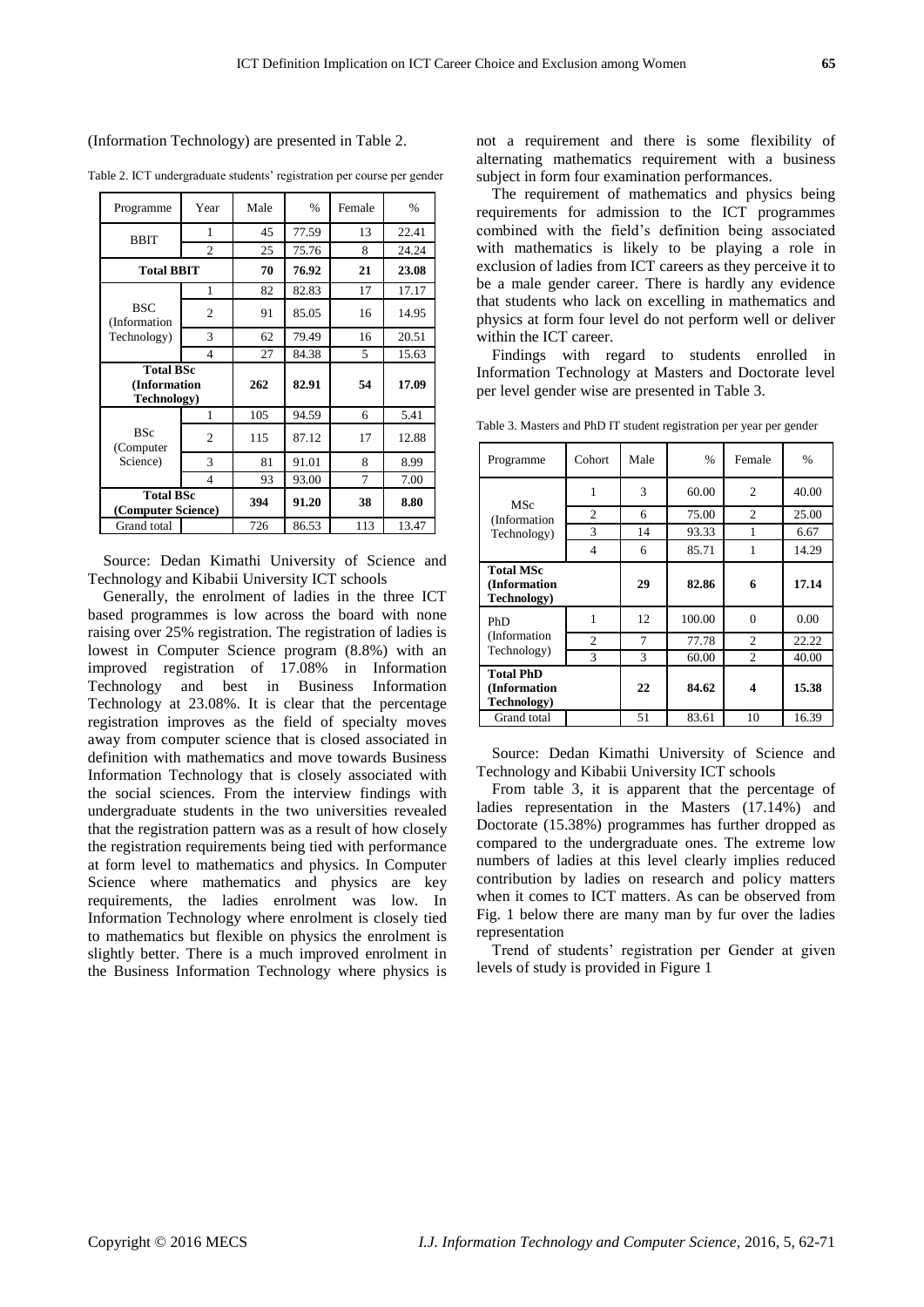(Information Technology) are presented in Table 2.

| Programme                                       | Year           | Male | $\%$  | Female | $\frac{0}{0}$ |
|-------------------------------------------------|----------------|------|-------|--------|---------------|
| <b>BBIT</b>                                     | 1              | 45   | 77.59 | 13     | 22.41         |
|                                                 | $\overline{c}$ | 25   | 75.76 | 8      | 24.24         |
| <b>Total BBIT</b>                               |                | 70   | 76.92 | 21     | 23.08         |
| <b>BSC</b><br>(Information)<br>Technology)      | 1              | 82   | 82.83 | 17     | 17.17         |
|                                                 | $\overline{2}$ | 91   | 85.05 | 16     | 14.95         |
|                                                 | 3              | 62   | 79.49 | 16     | 20.51         |
|                                                 | $\overline{4}$ | 27   | 84.38 | 5      | 15.63         |
| <b>Total BSc</b><br>(Information<br>Technology) |                | 262  | 82.91 | 54     | 17.09         |
| <b>BSc</b><br>(Computer<br>Science)             | 1              | 105  | 94.59 | 6      | 5.41          |
|                                                 | $\overline{c}$ | 115  | 87.12 | 17     | 12.88         |
|                                                 | 3              | 81   | 91.01 | 8      | 8.99          |
|                                                 | $\overline{4}$ | 93   | 93.00 | 7      | 7.00          |
| <b>Total BSc</b><br>(Computer Science)          |                | 394  | 91.20 | 38     | 8.80          |
| Grand total                                     |                | 726  | 86.53 | 113    | 13.47         |

Table 2. ICT undergraduate students' registration per course per gender

Source: Dedan Kimathi University of Science and Technology and Kibabii University ICT schools

Generally, the enrolment of ladies in the three ICT based programmes is low across the board with none raising over 25% registration. The registration of ladies is lowest in Computer Science program (8.8%) with an improved registration of 17.08% in Information Technology and best in Business Information Technology at 23.08%. It is clear that the percentage registration improves as the field of specialty moves away from computer science that is closed associated in definition with mathematics and move towards Business Information Technology that is closely associated with the social sciences. From the interview findings with undergraduate students in the two universities revealed that the registration pattern was as a result of how closely the registration requirements being tied with performance at form level to mathematics and physics. In Computer Science where mathematics and physics are key requirements, the ladies enrolment was low. In Information Technology where enrolment is closely tied to mathematics but flexible on physics the enrolment is slightly better. There is a much improved enrolment in the Business Information Technology where physics is not a requirement and there is some flexibility of alternating mathematics requirement with a business subject in form four examination performances.

The requirement of mathematics and physics being requirements for admission to the ICT programmes combined with the field's definition being associated with mathematics is likely to be playing a role in exclusion of ladies from ICT careers as they perceive it to be a male gender career. There is hardly any evidence that students who lack on excelling in mathematics and physics at form four level do not perform well or deliver within the ICT career.

Findings with regard to students enrolled in Information Technology at Masters and Doctorate level per level gender wise are presented in Table 3.

Table 3. Masters and PhD IT student registration per year per gender

| Programme                                       | Cohort         | Male           | %      | Female         | $\frac{0}{0}$ |
|-------------------------------------------------|----------------|----------------|--------|----------------|---------------|
| <b>MSc</b><br>(Information)<br>Technology)      | 1              | 3              | 60.00  | $\overline{c}$ | 40.00         |
|                                                 | 2              | 6              | 75.00  | $\overline{c}$ | 25.00         |
|                                                 | 3              | 14             | 93.33  |                | 6.67          |
|                                                 | 4              | 6              | 85.71  |                | 14.29         |
| <b>Total MSc</b><br>(Information<br>Technology) |                | 29             | 82.86  | 6              | 17.14         |
| PhD<br>(Information)<br>Technology)             |                | 12             | 100.00 | $\Omega$       | 0.00          |
|                                                 | $\overline{c}$ | $\overline{7}$ | 77.78  | $\mathfrak{2}$ | 22.22         |
|                                                 | 3              | 3              | 60.00  | 2              | 40.00         |
| <b>Total PhD</b><br>(Information<br>Technology) |                | 22             | 84.62  | 4              | 15.38         |
| Grand total                                     |                | 51             | 83.61  | 10             | 16.39         |

Source: Dedan Kimathi University of Science and Technology and Kibabii University ICT schools

From table 3, it is apparent that the percentage of ladies representation in the Masters (17.14%) and Doctorate (15.38%) programmes has further dropped as compared to the undergraduate ones. The extreme low numbers of ladies at this level clearly implies reduced contribution by ladies on research and policy matters when it comes to ICT matters. As can be observed from Fig. 1 below there are many man by fur over the ladies representation

Trend of students' registration per Gender at given levels of study is provided in Figure 1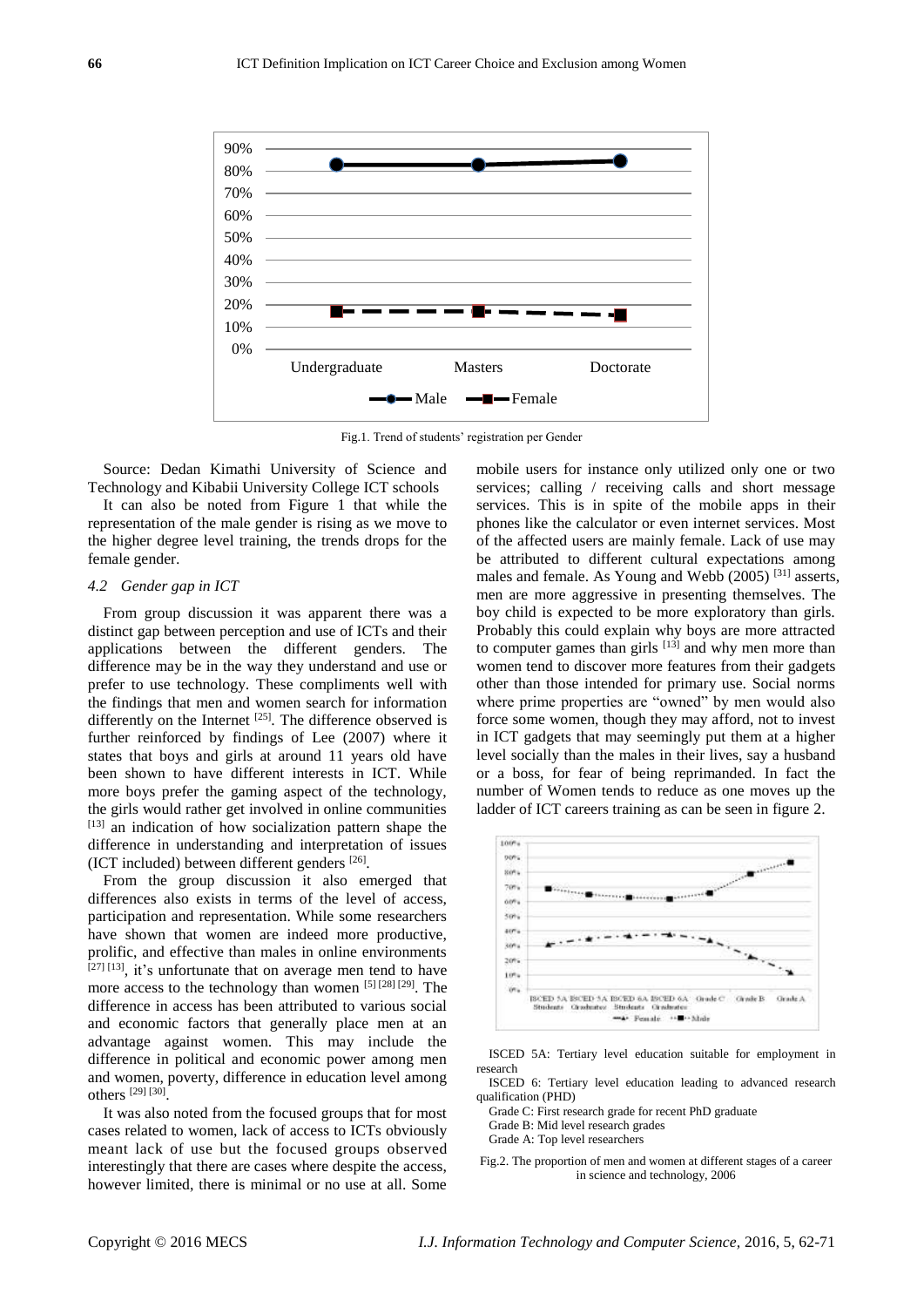

Fig.1. Trend of students' registration per Gender

Source: Dedan Kimathi University of Science and Technology and Kibabii University College ICT schools

It can also be noted from Figure 1 that while the representation of the male gender is rising as we move to the higher degree level training, the trends drops for the female gender.

### *4.2 Gender gap in ICT*

From group discussion it was apparent there was a distinct gap between perception and use of ICTs and their applications between the different genders. The difference may be in the way they understand and use or prefer to use technology. These compliments well with the findings that men and women search for information differently on the Internet  $^{[25]}$ . The difference observed is further reinforced by findings of Lee (2007) where it states that boys and girls at around 11 years old have been shown to have different interests in ICT. While more boys prefer the gaming aspect of the technology, the girls would rather get involved in online communities  $[13]$  an indication of how socialization pattern shape the difference in understanding and interpretation of issues (ICT included) between different genders [26] .

From the group discussion it also emerged that differences also exists in terms of the level of access, participation and representation. While some researchers have shown that women are indeed more productive, prolific, and effective than males in online environments  $[27]$   $[13]$ , it's unfortunate that on average men tend to have more access to the technology than women [5] [28] [29]. The difference in access has been attributed to various social and economic factors that generally place men at an advantage against women. This may include the difference in political and economic power among men and women, poverty, difference in education level among others [29] [30] .

It was also noted from the focused groups that for most cases related to women, lack of access to ICTs obviously meant lack of use but the focused groups observed interestingly that there are cases where despite the access, however limited, there is minimal or no use at all. Some

mobile users for instance only utilized only one or two services; calling / receiving calls and short message services. This is in spite of the mobile apps in their phones like the calculator or even internet services. Most of the affected users are mainly female. Lack of use may be attributed to different cultural expectations among males and female. As Young and Webb (2005) [31] asserts, men are more aggressive in presenting themselves. The boy child is expected to be more exploratory than girls. Probably this could explain why boys are more attracted to computer games than girls  $[13]$  and why men more than women tend to discover more features from their gadgets other than those intended for primary use. Social norms where prime properties are "owned" by men would also force some women, though they may afford, not to invest in ICT gadgets that may seemingly put them at a higher level socially than the males in their lives, say a husband or a boss, for fear of being reprimanded. In fact the number of Women tends to reduce as one moves up the ladder of ICT careers training as can be seen in figure 2.



ISCED 5A: Tertiary level education suitable for employment in research

ISCED 6: Tertiary level education leading to advanced research qualification (PHD)

Grade C: First research grade for recent PhD graduate

Grade B: Mid level research grades

Grade A: Top level researchers

Fig.2. The proportion of men and women at different stages of a career in science and technology, 2006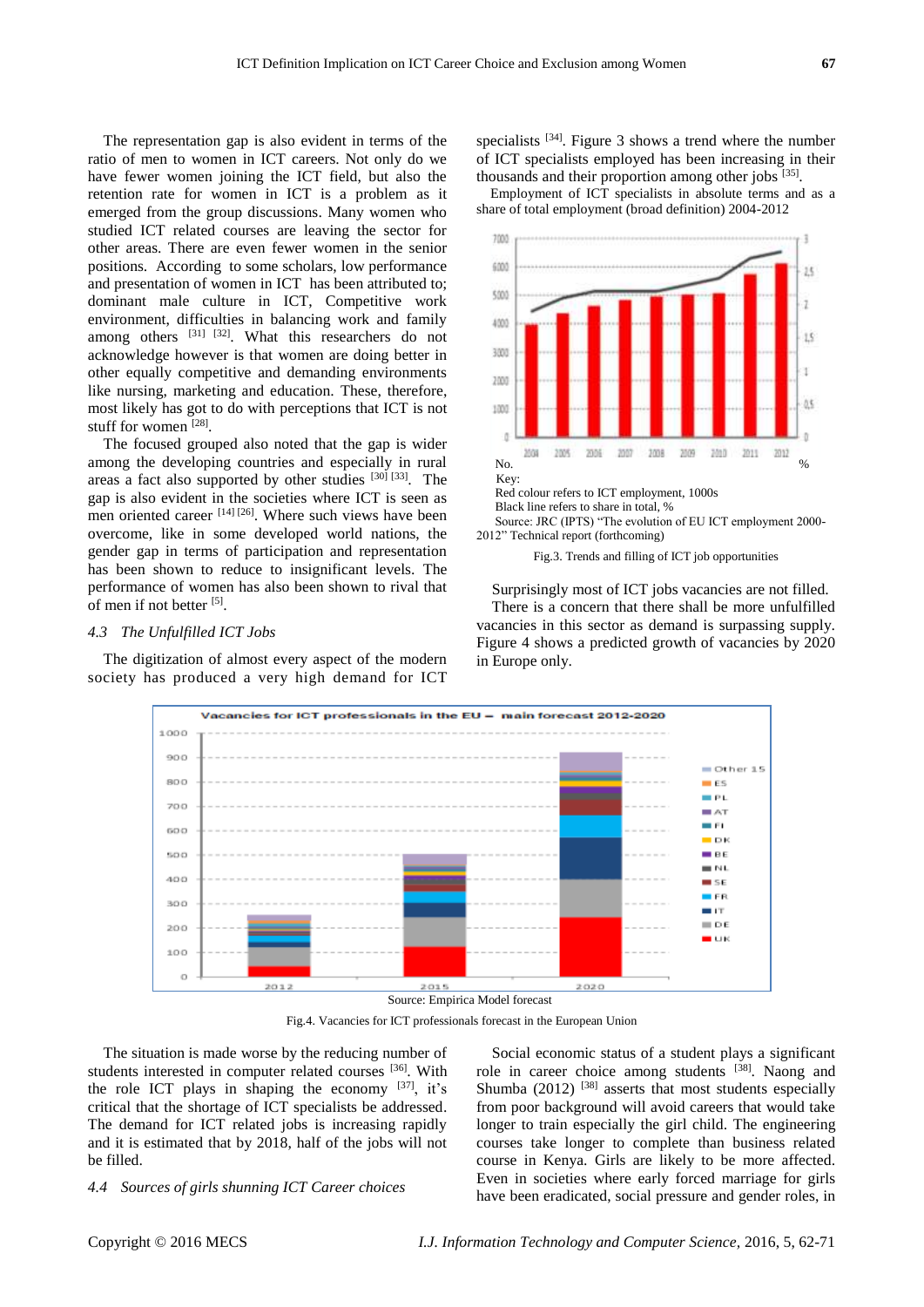The representation gap is also evident in terms of the ratio of men to women in ICT careers. Not only do we have fewer women joining the ICT field, but also the retention rate for women in ICT is a problem as it emerged from the group discussions. Many women who studied ICT related courses are leaving the sector for other areas. There are even fewer women in the senior positions. According to some scholars, low performance and presentation of women in ICT has been attributed to; dominant male culture in ICT, Competitive work environment, difficulties in balancing work and family among others  $[31]$   $[32]$ . What this researchers do not acknowledge however is that women are doing better in other equally competitive and demanding environments like nursing, marketing and education. These, therefore, most likely has got to do with perceptions that ICT is not stuff for women [28].

The focused grouped also noted that the gap is wider among the developing countries and especially in rural areas a fact also supported by other studies [30] [33]. The gap is also evident in the societies where ICT is seen as men oriented career [14] [26]. Where such views have been overcome, like in some developed world nations, the gender gap in terms of participation and representation has been shown to reduce to insignificant levels. The performance of women has also been shown to rival that of men if not better [5].

### *4.3 The Unfulfilled ICT Jobs*

The digitization of almost every aspect of the modern society has produced a very high demand for ICT

specialists  $[34]$ . Figure 3 shows a trend where the number of ICT specialists employed has been increasing in their thousands and their proportion among other jobs [35].

Employment of ICT specialists in absolute terms and as a share of total employment (broad definition) 2004-2012



Source: JRC (IPTS) "The evolution of EU ICT employment 2000- 2012" Technical report (forthcoming)

#### Fig.3. Trends and filling of ICT job opportunities

Surprisingly most of ICT jobs vacancies are not filled. There is a concern that there shall be more unfulfilled vacancies in this sector as demand is surpassing supply. Figure 4 shows a predicted growth of vacancies by 2020 in Europe only.



Fig.4. Vacancies for ICT professionals forecast in the European Union

The situation is made worse by the reducing number of students interested in computer related courses [36]. With the role ICT plays in shaping the economy  $[37]$ , it's critical that the shortage of ICT specialists be addressed. The demand for ICT related jobs is increasing rapidly and it is estimated that by 2018, half of the jobs will not be filled.

#### *4.4 Sources of girls shunning ICT Career choices*

Social economic status of a student plays a significant role in career choice among students [38]. Naong and Shumba  $(2012)$  <sup>[38]</sup> asserts that most students especially from poor background will avoid careers that would take longer to train especially the girl child. The engineering courses take longer to complete than business related course in Kenya. Girls are likely to be more affected. Even in societies where early forced marriage for girls have been eradicated, social pressure and gender roles, in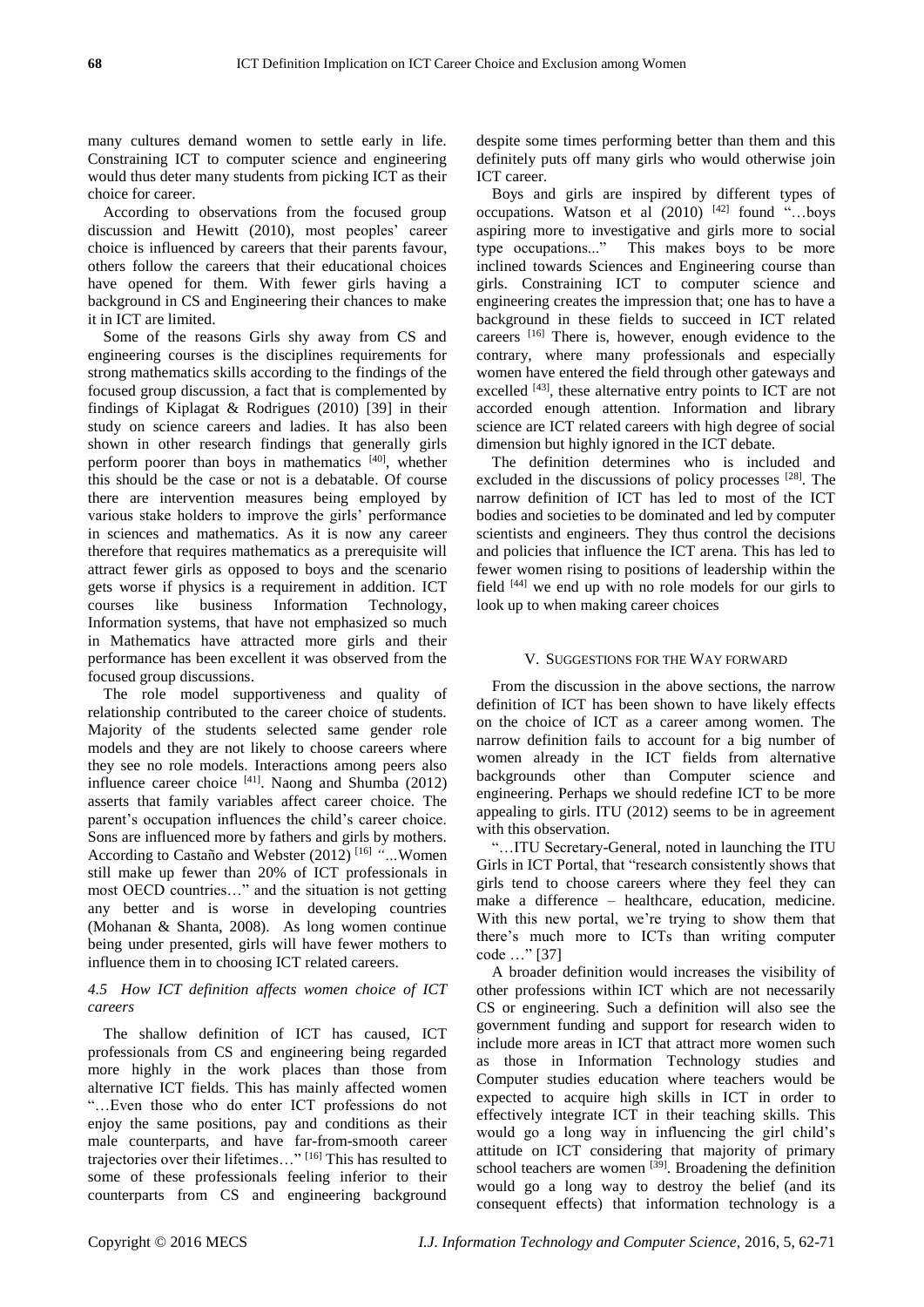many cultures demand women to settle early in life. Constraining ICT to computer science and engineering would thus deter many students from picking ICT as their choice for career.

According to observations from the focused group discussion and Hewitt (2010), most peoples' career choice is influenced by careers that their parents favour, others follow the careers that their educational choices have opened for them. With fewer girls having a background in CS and Engineering their chances to make it in ICT are limited.

Some of the reasons Girls shy away from CS and engineering courses is the disciplines requirements for strong mathematics skills according to the findings of the focused group discussion, a fact that is complemented by findings of Kiplagat & Rodrigues (2010) [39] in their study on science careers and ladies. It has also been shown in other research findings that generally girls perform poorer than boys in mathematics [40], whether this should be the case or not is a debatable. Of course there are intervention measures being employed by various stake holders to improve the girls' performance in sciences and mathematics. As it is now any career therefore that requires mathematics as a prerequisite will attract fewer girls as opposed to boys and the scenario gets worse if physics is a requirement in addition. ICT courses like business Information Technology, Information systems, that have not emphasized so much in Mathematics have attracted more girls and their performance has been excellent it was observed from the focused group discussions.

The role model supportiveness and quality of relationship contributed to the career choice of students. Majority of the students selected same gender role models and they are not likely to choose careers where they see no role models. Interactions among peers also influence career choice  $[41]$ . Naong and Shumba (2012) asserts that family variables affect career choice. The parent's occupation influences the child's career choice. Sons are influenced more by fathers and girls by mothers. According to Castaño and Webster (2012) [16] *"…*Women still make up fewer than 20% of ICT professionals in most OECD countries…" and the situation is not getting any better and is worse in developing countries (Mohanan & Shanta, 2008). As long women continue being under presented, girls will have fewer mothers to influence them in to choosing ICT related careers.

# *4.5 How ICT definition affects women choice of ICT careers*

The shallow definition of ICT has caused, ICT professionals from CS and engineering being regarded more highly in the work places than those from alternative ICT fields. This has mainly affected women "…Even those who do enter ICT professions do not enjoy the same positions, pay and conditions as their male counterparts, and have far-from-smooth career trajectories over their lifetimes…" [16] This has resulted to some of these professionals feeling inferior to their counterparts from CS and engineering background

despite some times performing better than them and this definitely puts off many girls who would otherwise join ICT career.

Boys and girls are inspired by different types of occupations. Watson et al  $(2010)$  [42] found "...boys aspiring more to investigative and girls more to social type occupations..." This makes boys to be more inclined towards Sciences and Engineering course than girls. Constraining ICT to computer science and engineering creates the impression that; one has to have a background in these fields to succeed in ICT related careers [16] There is, however, enough evidence to the contrary, where many professionals and especially women have entered the field through other gateways and excelled <sup>[43]</sup>, these alternative entry points to ICT are not accorded enough attention. Information and library science are ICT related careers with high degree of social dimension but highly ignored in the ICT debate.

The definition determines who is included and excluded in the discussions of policy processes  $^{[28]}$ . The narrow definition of ICT has led to most of the ICT bodies and societies to be dominated and led by computer scientists and engineers. They thus control the decisions and policies that influence the ICT arena. This has led to fewer women rising to positions of leadership within the field  $[44]$  we end up with no role models for our girls to look up to when making career choices

## V. SUGGESTIONS FOR THE WAY FORWARD

From the discussion in the above sections, the narrow definition of ICT has been shown to have likely effects on the choice of ICT as a career among women. The narrow definition fails to account for a big number of women already in the ICT fields from alternative backgrounds other than Computer science and engineering. Perhaps we should redefine ICT to be more appealing to girls. ITU (2012) seems to be in agreement with this observation.

"…ITU Secretary-General, noted in launching the ITU Girls in ICT Portal, that "research consistently shows that girls tend to choose careers where they feel they can make a difference – healthcare, education, medicine. With this new portal, we're trying to show them that there's much more to ICTs than writing computer code …" [37]

A broader definition would increases the visibility of other professions within ICT which are not necessarily CS or engineering. Such a definition will also see the government funding and support for research widen to include more areas in ICT that attract more women such as those in Information Technology studies and Computer studies education where teachers would be expected to acquire high skills in ICT in order to effectively integrate ICT in their teaching skills. This would go a long way in influencing the girl child's attitude on ICT considering that majority of primary school teachers are women [39]. Broadening the definition would go a long way to destroy the belief (and its consequent effects) that information technology is a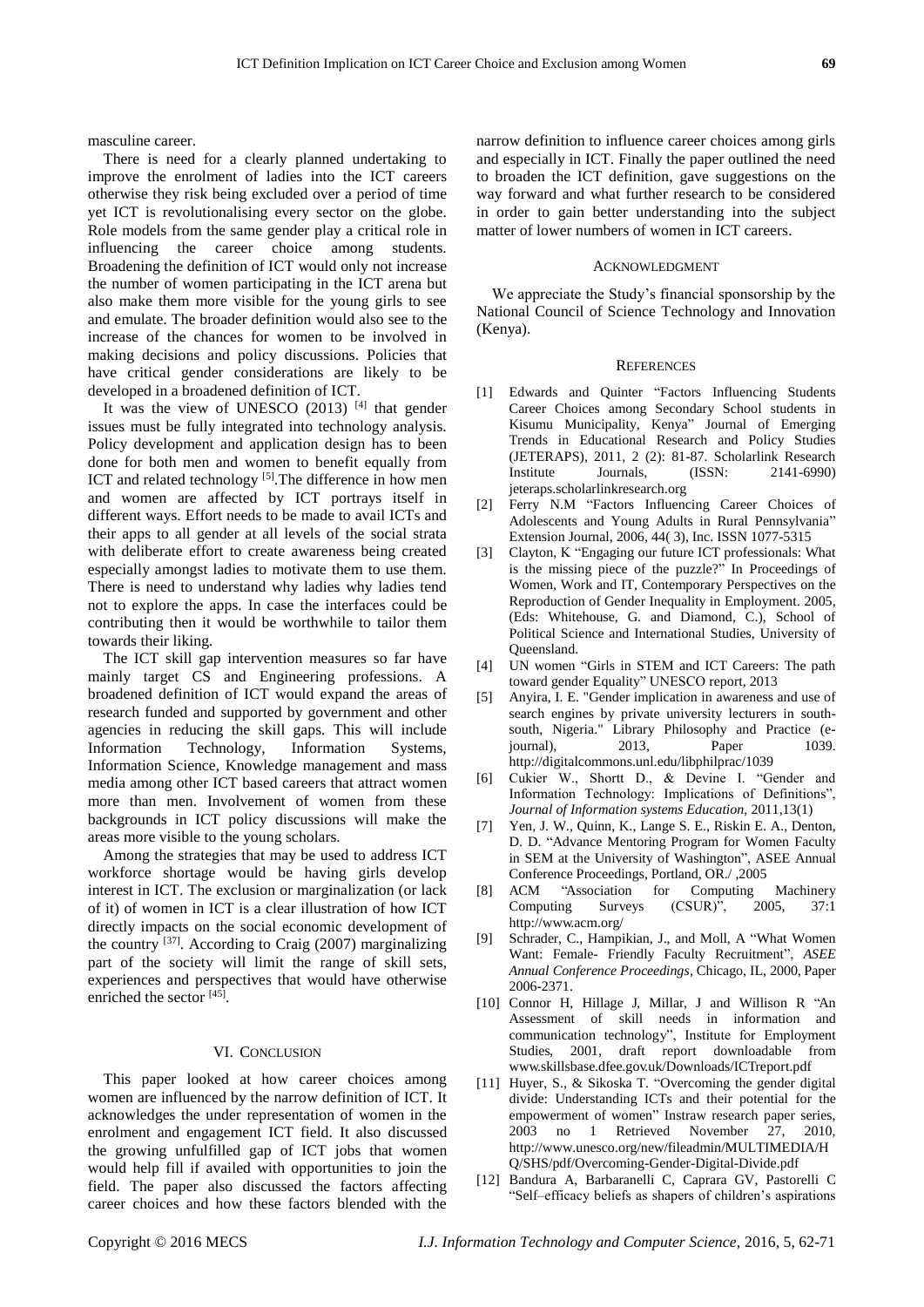masculine career.

There is need for a clearly planned undertaking to improve the enrolment of ladies into the ICT careers otherwise they risk being excluded over a period of time yet ICT is revolutionalising every sector on the globe. Role models from the same gender play a critical role in influencing the career choice among students. Broadening the definition of ICT would only not increase the number of women participating in the ICT arena but also make them more visible for the young girls to see and emulate. The broader definition would also see to the increase of the chances for women to be involved in making decisions and policy discussions. Policies that have critical gender considerations are likely to be developed in a broadened definition of ICT.

It was the view of UNESCO  $(2013)$  [4] that gender issues must be fully integrated into technology analysis. Policy development and application design has to been done for both men and women to benefit equally from ICT and related technology [5]. The difference in how men and women are affected by ICT portrays itself in different ways. Effort needs to be made to avail ICTs and their apps to all gender at all levels of the social strata with deliberate effort to create awareness being created especially amongst ladies to motivate them to use them. There is need to understand why ladies why ladies tend not to explore the apps. In case the interfaces could be contributing then it would be worthwhile to tailor them towards their liking.

The ICT skill gap intervention measures so far have mainly target CS and Engineering professions. A broadened definition of ICT would expand the areas of research funded and supported by government and other agencies in reducing the skill gaps. This will include Information Technology, Information Systems, Information Science, Knowledge management and mass media among other ICT based careers that attract women more than men. Involvement of women from these backgrounds in ICT policy discussions will make the areas more visible to the young scholars.

Among the strategies that may be used to address ICT workforce shortage would be having girls develop interest in ICT. The exclusion or marginalization (or lack of it) of women in ICT is a clear illustration of how ICT directly impacts on the social economic development of the country  $^{[37]}$ . According to Craig (2007) marginalizing part of the society will limit the range of skill sets, experiences and perspectives that would have otherwise enriched the sector [45].

## VI. CONCLUSION

This paper looked at how career choices among women are influenced by the narrow definition of ICT. It acknowledges the under representation of women in the enrolment and engagement ICT field. It also discussed the growing unfulfilled gap of ICT jobs that women would help fill if availed with opportunities to join the field. The paper also discussed the factors affecting career choices and how these factors blended with the

narrow definition to influence career choices among girls and especially in ICT. Finally the paper outlined the need to broaden the ICT definition, gave suggestions on the way forward and what further research to be considered in order to gain better understanding into the subject matter of lower numbers of women in ICT careers.

## ACKNOWLEDGMENT

We appreciate the Study's financial sponsorship by the National Council of Science Technology and Innovation (Kenya).

#### **REFERENCES**

- [1] Edwards and Quinter "Factors Influencing Students Career Choices among Secondary School students in Kisumu Municipality, Kenya" Journal of Emerging Trends in Educational Research and Policy Studies (JETERAPS), 2011, 2 (2): 81-87. Scholarlink Research Institute Journals, (ISSN: 2141-6990) jeteraps.scholarlinkresearch.org
- [2] Ferry N.M "Factors Influencing Career Choices of Adolescents and Young Adults in Rural Pennsylvania" Extension Journal, 2006, 44( 3), Inc. ISSN 1077-5315
- [3] Clayton, K "Engaging our future ICT professionals: What is the missing piece of the puzzle?" In Proceedings of Women, Work and IT, Contemporary Perspectives on the Reproduction of Gender Inequality in Employment. 2005, (Eds: Whitehouse, G. and Diamond, C.), School of Political Science and International Studies, University of Queensland.
- [4] UN women "Girls in STEM and ICT Careers: The path toward gender Equality" UNESCO report, 2013
- [5] Anyira, I. E. "Gender implication in awareness and use of search engines by private university lecturers in southsouth, Nigeria." Library Philosophy and Practice (ejournal), 2013, Paper 1039. <http://digitalcommons.unl.edu/libphilprac/1039>
- [6] Cukier W., Shortt D., & Devine I. "Gender and Information Technology: Implications of Definitions", *Journal of Information systems Education,* 2011,13(1)
- [7] Yen, J. W., Quinn, K., Lange S. E., Riskin E. A., Denton, D. D. "Advance Mentoring Program for Women Faculty in SEM at the University of Washington", ASEE Annual Conference Proceedings, Portland, OR./ ,2005
- [8] ACM "Association for Computing Machinery Computing Surveys (CSUR)", 2005, 37:1 <http://www.acm.org/>
- [9] Schrader, C., Hampikian, J., and Moll, A "What Women Want: Female- Friendly Faculty Recruitment", *ASEE Annual Conference Proceedings*, Chicago, IL, 2000, Paper 2006-2371.
- [10] Connor H, Hillage J, Millar, J and Willison R "An Assessment of skill needs in information and communication technology", Institute for Employment Studies, 2001, draft report downloadable from [www.skillsbase.dfee.gov.uk/Downloads/ICTreport.pdf](file:///C:/Users/WABS/AppData/Local/Temp/www.skillsbase.dfee.gov.uk/Downloads/ICTreport.pdf)
- [11] Huyer, S., & Sikoska T. "Overcoming the gender digital divide: Understanding ICTs and their potential for the empowerment of women" Instraw research paper series, 2003 no 1 Retrieved November 27, 2010, [http://www.unesco.org/new/fileadmin/MULTIMEDIA/H](http://www.unesco.org/new/fileadmin/MULTIMEDIA/HQ/SHS/pdf/Overcoming-Gender-Digital-Divide.pdf) [Q/SHS/pdf/Overcoming-Gender-Digital-Divide.pdf](http://www.unesco.org/new/fileadmin/MULTIMEDIA/HQ/SHS/pdf/Overcoming-Gender-Digital-Divide.pdf)
- [12] Bandura A, Barbaranelli C, Caprara GV, Pastorelli C "Self–efficacy beliefs as shapers of children's aspirations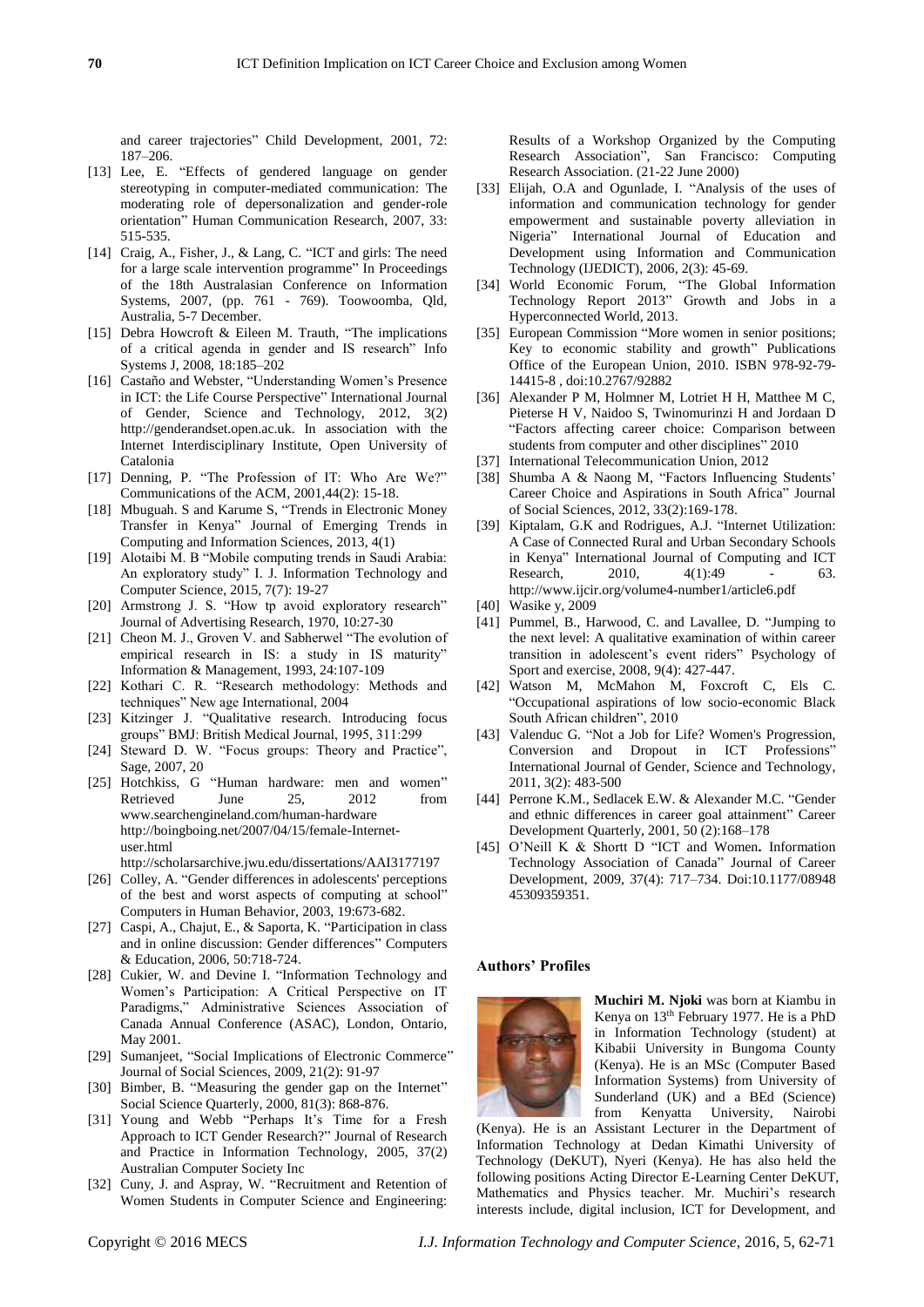and career trajectories" Child Development, 2001, 72: 187–206.

- [13] Lee, E. "Effects of gendered language on gender stereotyping in computer-mediated communication: The moderating role of depersonalization and gender-role orientation" Human Communication Research, 2007, 33: 515-535.
- [14] Craig, A., Fisher, J., & Lang, C. "ICT and girls: The need for a large scale intervention programme" In Proceedings of the 18th Australasian Conference on Information Systems, 2007, (pp. 761 - 769). Toowoomba, Qld, Australia, 5-7 December.
- [15] Debra Howcroft & Eileen M. Trauth, "The implications of a critical agenda in gender and IS research" Info Systems J, 2008, 18:185–202
- [16] Castaño and Webster, "Understanding Women's Presence in ICT: the Life Course Perspective" International Journal of Gender, Science and Technology, 2012, 3(2) http://genderandset.open.ac.uk. In association with the Internet Interdisciplinary Institute, Open University of Catalonia
- [17] Denning, P. "The Profession of IT: Who Are We?" Communications of the ACM, 2001,44(2): 15-18.
- [18] Mbuguah. S and Karume S, "Trends in Electronic Money" Transfer in Kenya" Journal of Emerging Trends in Computing and Information Sciences, 2013, 4(1)
- [19] Alotaibi M. B "Mobile computing trends in Saudi Arabia: An exploratory study" I. J. Information Technology and Computer Science, 2015, 7(7): 19-27
- [20] Armstrong J. S. "How tp avoid exploratory research" Journal of Advertising Research, 1970, 10:27-30
- [21] Cheon M. J., Groven V. and Sabherwel "The evolution of empirical research in IS: a study in IS maturity" Information & Management, 1993, 24:107-109
- [22] Kothari C. R. "Research methodology: Methods and techniques" New age International, 2004
- [23] Kitzinger J. "Qualitative research. Introducing focus groups" BMJ: British Medical Journal, 1995, 311:299
- [24] Steward D. W. "Focus groups: Theory and Practice", Sage, 2007, 20
- [25] Hotchkiss, G "Human hardware: men and women" Retrieved Iune 25, 2012 from [www.searchengineland.com/human-hardware](http://www.searchengineland.com/human-hardware) [http://boingboing.net/2007/04/15/female-Internet](http://boingboing.net/2007/04/15/female-Internet-user.html)[user.html](http://boingboing.net/2007/04/15/female-Internet-user.html)

<http://scholarsarchive.jwu.edu/dissertations/AAI3177197>

- [26] Colley, A. "Gender differences in adolescents' perceptions of the best and worst aspects of computing at school" Computers in Human Behavior, 2003, 19:673-682.
- [27] Caspi, A., Chajut, E., & Saporta, K. "Participation in class and in online discussion: Gender differences" Computers & Education, 2006, 50:718-724.
- [28] Cukier, W. and Devine I. "Information Technology and Women's Participation: A Critical Perspective on IT Paradigms," Administrative Sciences Association of Canada Annual Conference (ASAC), London, Ontario, May 2001.
- [29] Sumanjeet, "Social Implications of Electronic Commerce" Journal of Social Sciences, 2009, 21(2): 91-97
- [30] Bimber, B. "Measuring the gender gap on the Internet" Social Science Quarterly, 2000, 81(3): 868-876.
- [31] Young and Webb "Perhaps It's Time for a Fresh Approach to ICT Gender Research?" Journal of Research and Practice in Information Technology, 2005, 37(2) Australian Computer Society Inc
- [32] Cuny, J. and Aspray, W. "Recruitment and Retention of Women Students in Computer Science and Engineering:

Results of a Workshop Organized by the Computing Research Association", San Francisco: Computing Research Association. (21-22 June 2000)

- [33] Elijah, O.A and Ogunlade, I. "Analysis of the uses of information and communication technology for gender empowerment and sustainable poverty alleviation in Nigeria" International Journal of Education and Development using Information and Communication Technology (IJEDICT), 2006, 2(3): 45-69.
- [34] World Economic Forum, "The Global Information Technology Report 2013" Growth and Jobs in a Hyperconnected World, 2013.
- [35] European Commission "More women in senior positions; Key to economic stability and growth" Publications Office of the European Union, 2010. ISBN 978-92-79- 14415-8 , doi:10.2767/92882
- [36] Alexander P M, Holmner M, Lotriet H H, Matthee M C, Pieterse H V, Naidoo S, Twinomurinzi H and Jordaan D "Factors affecting career choice: Comparison between students from computer and other disciplines" 2010
- [37] International Telecommunication Union, 2012
- [38] Shumba A & Naong M, "Factors Influencing Students' Career Choice and Aspirations in South Africa" Journal of Social Sciences, 2012, 33(2):169-178.
- [39] Kiptalam, G.K and Rodrigues, A.J. "Internet Utilization: A Case of Connected Rural and Urban Secondary Schools in Kenya" International Journal of Computing and ICT Research, 2010, 4(1):49 - 63. <http://www.ijcir.org/volume4-number1/article6.pdf>
- [40] Wasike y, 2009
- [41] Pummel, B., Harwood, C. and Lavallee, D. "Jumping to the next level: A qualitative examination of within career transition in adolescent's event riders" Psychology of Sport and exercise, 2008, 9(4): 427-447.
- [42] Watson M, McMahon M, Foxcroft C, Els C. "Occupational aspirations of low socio-economic Black South African children", 2010
- [43] Valenduc G. "Not a Job for Life? Women's Progression, Conversion and Dropout in ICT Professions" International Journal of Gender, Science and Technology, 2011, 3(2): 483-500
- [44] Perrone K.M., Sedlacek E.W. & Alexander M.C. "Gender and ethnic differences in career goal attainment" Career Development Quarterly, 2001, 50 (2):168–178
- [45] O'Neill K & Shortt D "ICT and Women**.** Information Technology Association of Canada" Journal of Career Development, 2009, 37(4): 717–734. Doi:10.1177/08948 45309359351.

#### **Authors' Profiles**



**Muchiri M. Njoki** was born at Kiambu in Kenya on 13th February 1977. He is a PhD in Information Technology (student) at Kibabii University in Bungoma County (Kenya). He is an MSc (Computer Based Information Systems) from University of Sunderland (UK) and a BEd (Science) from Kenyatta University, Nairobi

(Kenya). He is an Assistant Lecturer in the Department of Information Technology at Dedan Kimathi University of Technology (DeKUT), Nyeri (Kenya). He has also held the following positions Acting Director E-Learning Center DeKUT, Mathematics and Physics teacher. Mr. Muchiri's research interests include, digital inclusion, ICT for Development, and